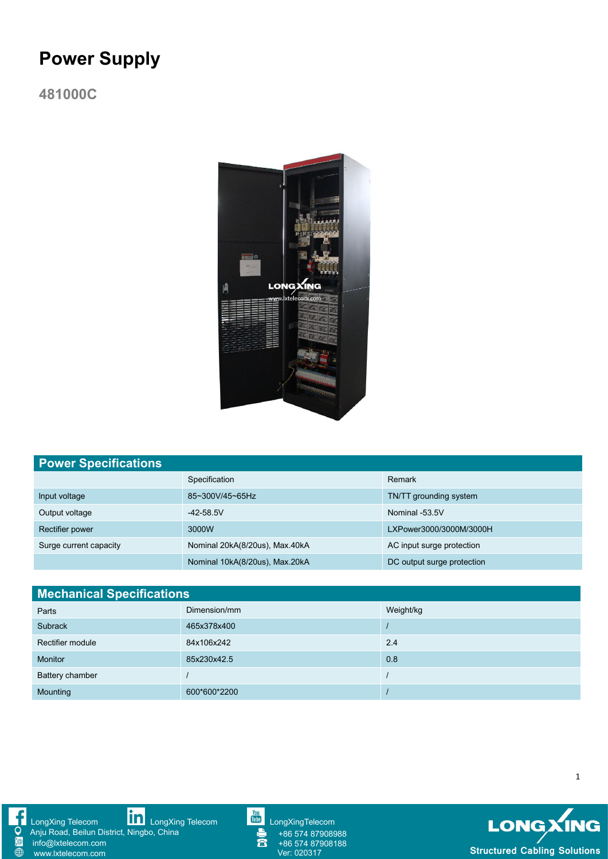# **Power Supply**

**481000C**



| <b>Power Specifications</b> |                                |                            |  |  |
|-----------------------------|--------------------------------|----------------------------|--|--|
|                             | Specification                  | Remark                     |  |  |
| Input voltage               | 85~300V/45~65Hz                | TN/TT grounding system     |  |  |
| Output voltage              | $-42 - 58.5V$                  | Nominal -53.5V             |  |  |
| Rectifier power             | 3000W                          | LXPower3000/3000M/3000H    |  |  |
| Surge current capacity      | Nominal 20kA(8/20us), Max.40kA | AC input surge protection  |  |  |
|                             | Nominal 10kA(8/20us), Max.20kA | DC output surge protection |  |  |

| <b>Mechanical Specifications</b> |              |           |  |  |
|----------------------------------|--------------|-----------|--|--|
| Parts                            | Dimension/mm | Weight/kg |  |  |
| Subrack                          | 465x378x400  |           |  |  |
| Rectifier module                 | 84x106x242   | 2.4       |  |  |
| <b>Monitor</b>                   | 85x230x42.5  | 0.8       |  |  |
| Battery chamber                  |              |           |  |  |
| Mounting                         | 600*600*2200 |           |  |  |

Q  $\overline{\oplus}$ 



Anju Road, Beilun District, Ningbo, China info@lxtelecom.com



+86 574 87908988 +86 574 87908188



1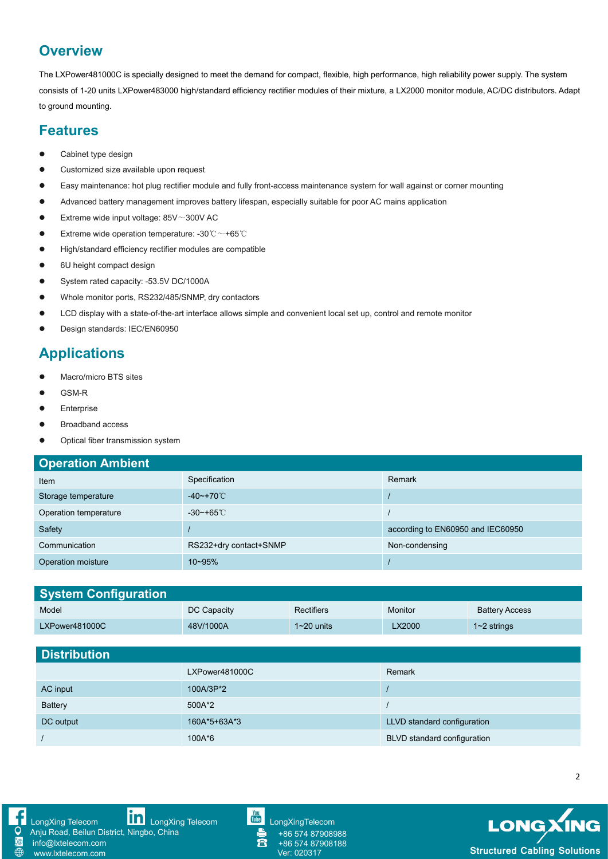## **Overview**

The LXPower481000C is specially designed to meet the demand for compact, flexible, high performance, high reliability power supply. The system consists of 1-20 units LXPower483000 high/standard efficiency rectifier modules of their mixture, a LX2000 monitor module, AC/DC distributors. Adapt to ground mounting.

#### **Features**

- Cabinet type design
- Customized size available upon request
- Easy maintenance: hot plug rectifier module and fully front-access maintenance system for wall against or corner mounting
- Advanced battery management improves battery lifespan, especially suitable for poor AC mains application
- $\bullet$  Extreme wide input voltage: 85V $\sim$ 300V AC
- Extreme wide operation temperature: -30  $^{\circ}\text{C} \sim$  +65 $^{\circ}\text{C}$
- High/standard efficiency rectifier modules are compatible
- 6U height compact design
- System rated capacity: -53.5V DC/1000A
- Whole monitor ports, RS232/485/SNMP, dry contactors
- LCD display with a state-of-the-art interface allows simple and convenient local set up, control and remote monitor
- Design standards: IEC/EN60950

# **Applications**

- Macro/micro BTS sites
- GSM-R
- **•** Enterprise
- **•** Broadband access
- Optical fiber transmission system

| <b>Operation Ambient</b> |                         |                                   |  |  |
|--------------------------|-------------------------|-----------------------------------|--|--|
| Item                     | Specification           | Remark                            |  |  |
| Storage temperature      | $-40$ ~+70 °C           |                                   |  |  |
| Operation temperature    | $-30$ ~+65 $^{\circ}$ C |                                   |  |  |
| Safety                   |                         | according to EN60950 and IEC60950 |  |  |
| Communication            | RS232+dry contact+SNMP  | Non-condensing                    |  |  |
| Operation moisture       | $10 - 95%$              |                                   |  |  |

| <b>System Configuration</b> |                |                |         |                       |
|-----------------------------|----------------|----------------|---------|-----------------------|
| Model                       | DC Capacity    | Rectifiers     | Monitor | <b>Battery Access</b> |
| LXPower481000C              | 48V/1000A      | $1 - 20$ units | LX2000  | $1~2$ strings         |
|                             |                |                |         |                       |
| <b>Distribution</b>         |                |                |         |                       |
|                             | LXPower481000C |                | Remark  |                       |
|                             |                |                |         |                       |

| AC input  | 100A/3P*2    |                             |
|-----------|--------------|-----------------------------|
| Battery   | 500A*2       |                             |
| DC output | 160A*5+63A*3 | LLVD standard configuration |
|           | 100A*6       | BLVD standard configuration |



[www.lxtelecom.com](http://www.lxtelecom.com/)

[LongXing](https://www.linkedin.com/company/longxing-telecom) Telecom **LongXing Telecom** [LongXingTelecom](https://www.youtube.com/user/LongXingTelecom) LongXingTelecom Anju Road, Beilun District, Ningbo, China<br>
info@lxtelecom.com info@lxtelecom.com

+86 574 87908988 +86 574 87908188



2